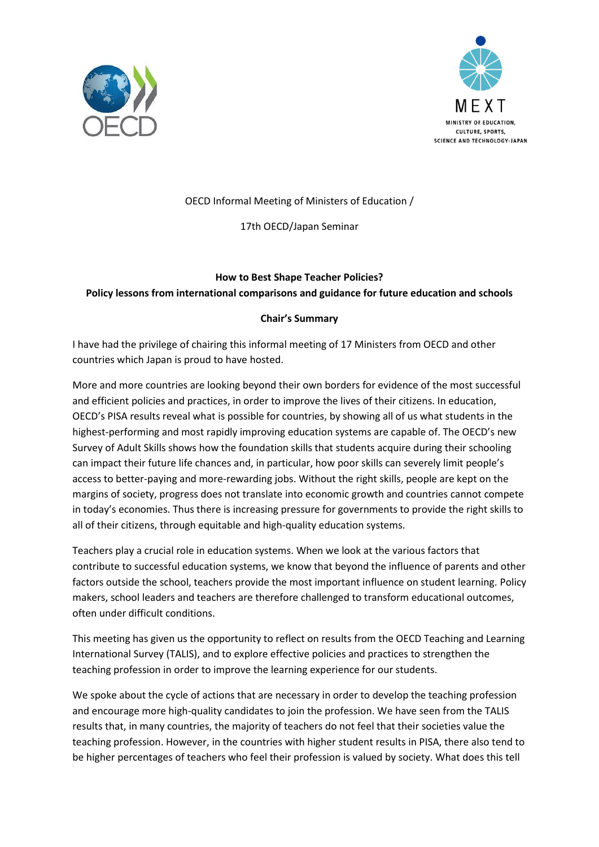



## OECD Informal Meeting of Ministers of Education /

## 17th OECD/Japan Seminar

## **How to Best Shape Teacher Policies? Policy lessons from international comparisons and guidance for future education and schools**

## **Chair's Summary**

I have had the privilege of chairing this informal meeting of 17 Ministers from OECD and other countries which Japan is proud to have hosted.

More and more countries are looking beyond their own borders for evidence of the most successful and efficient policies and practices, in order to improve the lives of their citizens. In education, OECD's PISA results reveal what is possible for countries, by showing all of us what students in the highest-performing and most rapidly improving education systems are capable of. The OECD's new Survey of Adult Skills shows how the foundation skills that students acquire during their schooling can impact their future life chances and, in particular, how poor skills can severely limit people's access to better-paying and more-rewarding jobs. Without the right skills, people are kept on the margins of society, progress does not translate into economic growth and countries cannot compete in today's economies. Thus there is increasing pressure for governments to provide the right skills to all of their citizens, through equitable and high-quality education systems.

Teachers play a crucial role in education systems. When we look at the various factors that contribute to successful education systems, we know that beyond the influence of parents and other factors outside the school, teachers provide the most important influence on student learning. Policy makers, school leaders and teachers are therefore challenged to transform educational outcomes, often under difficult conditions.

This meeting has given us the opportunity to reflect on results from the OECD Teaching and Learning International Survey (TALIS), and to explore effective policies and practices to strengthen the teaching profession in order to improve the learning experience for our students.

We spoke about the cycle of actions that are necessary in order to develop the teaching profession and encourage more high-quality candidates to join the profession. We have seen from the TALIS results that, in many countries, the majority of teachers do not feel that their societies value the teaching profession. However, in the countries with higher student results in PISA, there also tend to be higher percentages of teachers who feel their profession is valued by society. What does this tell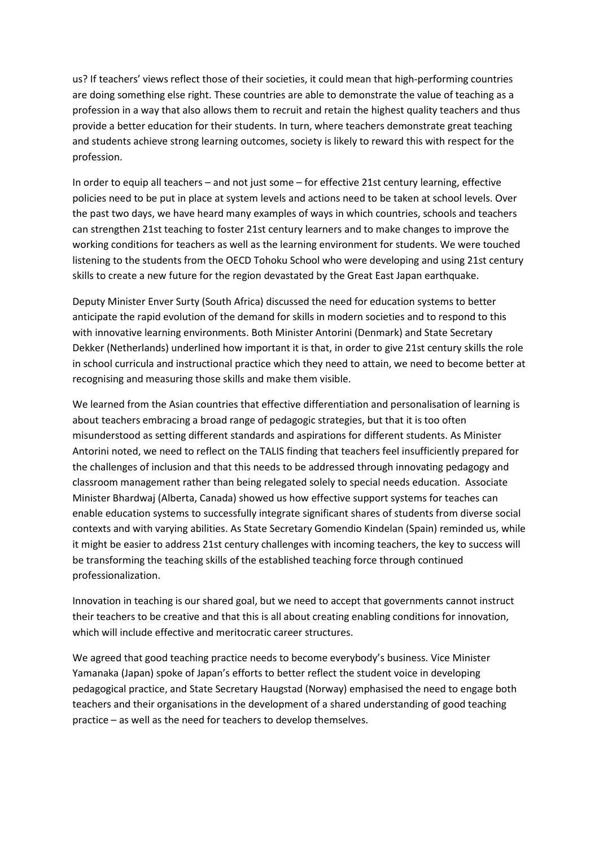us? If teachers' views reflect those of their societies, it could mean that high-performing countries are doing something else right. These countries are able to demonstrate the value of teaching as a profession in a way that also allows them to recruit and retain the highest quality teachers and thus provide a better education for their students. In turn, where teachers demonstrate great teaching and students achieve strong learning outcomes, society is likely to reward this with respect for the profession.

In order to equip all teachers – and not just some – for effective 21st century learning, effective policies need to be put in place at system levels and actions need to be taken at school levels. Over the past two days, we have heard many examples of ways in which countries, schools and teachers can strengthen 21st teaching to foster 21st century learners and to make changes to improve the working conditions for teachers as well as the learning environment for students. We were touched listening to the students from the OECD Tohoku School who were developing and using 21st century skills to create a new future for the region devastated by the Great East Japan earthquake.

Deputy Minister Enver Surty (South Africa) discussed the need for education systems to better anticipate the rapid evolution of the demand for skills in modern societies and to respond to this with innovative learning environments. Both Minister Antorini (Denmark) and State Secretary Dekker (Netherlands) underlined how important it is that, in order to give 21st century skills the role in school curricula and instructional practice which they need to attain, we need to become better at recognising and measuring those skills and make them visible.

We learned from the Asian countries that effective differentiation and personalisation of learning is about teachers embracing a broad range of pedagogic strategies, but that it is too often misunderstood as setting different standards and aspirations for different students. As Minister Antorini noted, we need to reflect on the TALIS finding that teachers feel insufficiently prepared for the challenges of inclusion and that this needs to be addressed through innovating pedagogy and classroom management rather than being relegated solely to special needs education. Associate Minister Bhardwaj (Alberta, Canada) showed us how effective support systems for teaches can enable education systems to successfully integrate significant shares of students from diverse social contexts and with varying abilities. As State Secretary Gomendio Kindelan (Spain) reminded us, while it might be easier to address 21st century challenges with incoming teachers, the key to success will be transforming the teaching skills of the established teaching force through continued professionalization.

Innovation in teaching is our shared goal, but we need to accept that governments cannot instruct their teachers to be creative and that this is all about creating enabling conditions for innovation, which will include effective and meritocratic career structures.

We agreed that good teaching practice needs to become everybody's business. Vice Minister Yamanaka (Japan) spoke of Japan's efforts to better reflect the student voice in developing pedagogical practice, and State Secretary Haugstad (Norway) emphasised the need to engage both teachers and their organisations in the development of a shared understanding of good teaching practice – as well as the need for teachers to develop themselves.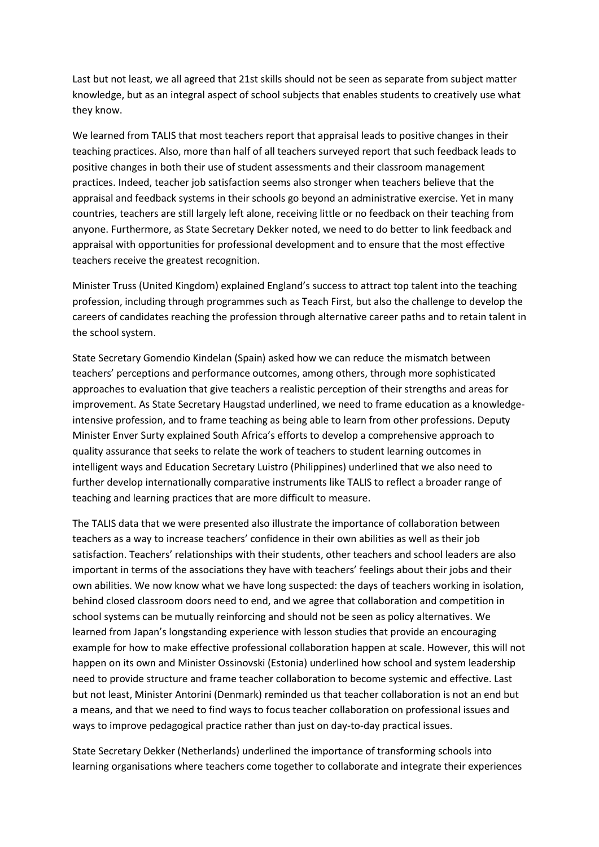Last but not least, we all agreed that 21st skills should not be seen as separate from subject matter knowledge, but as an integral aspect of school subjects that enables students to creatively use what they know.

We learned from TALIS that most teachers report that appraisal leads to positive changes in their teaching practices. Also, more than half of all teachers surveyed report that such feedback leads to positive changes in both their use of student assessments and their classroom management practices. Indeed, teacher job satisfaction seems also stronger when teachers believe that the appraisal and feedback systems in their schools go beyond an administrative exercise. Yet in many countries, teachers are still largely left alone, receiving little or no feedback on their teaching from anyone. Furthermore, as State Secretary Dekker noted, we need to do better to link feedback and appraisal with opportunities for professional development and to ensure that the most effective teachers receive the greatest recognition.

Minister Truss (United Kingdom) explained England's success to attract top talent into the teaching profession, including through programmes such as Teach First, but also the challenge to develop the careers of candidates reaching the profession through alternative career paths and to retain talent in the school system.

State Secretary Gomendio Kindelan (Spain) asked how we can reduce the mismatch between teachers' perceptions and performance outcomes, among others, through more sophisticated approaches to evaluation that give teachers a realistic perception of their strengths and areas for improvement. As State Secretary Haugstad underlined, we need to frame education as a knowledgeintensive profession, and to frame teaching as being able to learn from other professions. Deputy Minister Enver Surty explained South Africa's efforts to develop a comprehensive approach to quality assurance that seeks to relate the work of teachers to student learning outcomes in intelligent ways and Education Secretary Luistro (Philippines) underlined that we also need to further develop internationally comparative instruments like TALIS to reflect a broader range of teaching and learning practices that are more difficult to measure.

The TALIS data that we were presented also illustrate the importance of collaboration between teachers as a way to increase teachers' confidence in their own abilities as well as their job satisfaction. Teachers' relationships with their students, other teachers and school leaders are also important in terms of the associations they have with teachers' feelings about their jobs and their own abilities. We now know what we have long suspected: the days of teachers working in isolation, behind closed classroom doors need to end, and we agree that collaboration and competition in school systems can be mutually reinforcing and should not be seen as policy alternatives. We learned from Japan's longstanding experience with lesson studies that provide an encouraging example for how to make effective professional collaboration happen at scale. However, this will not happen on its own and Minister Ossinovski (Estonia) underlined how school and system leadership need to provide structure and frame teacher collaboration to become systemic and effective. Last but not least, Minister Antorini (Denmark) reminded us that teacher collaboration is not an end but a means, and that we need to find ways to focus teacher collaboration on professional issues and ways to improve pedagogical practice rather than just on day-to-day practical issues.

State Secretary Dekker (Netherlands) underlined the importance of transforming schools into learning organisations where teachers come together to collaborate and integrate their experiences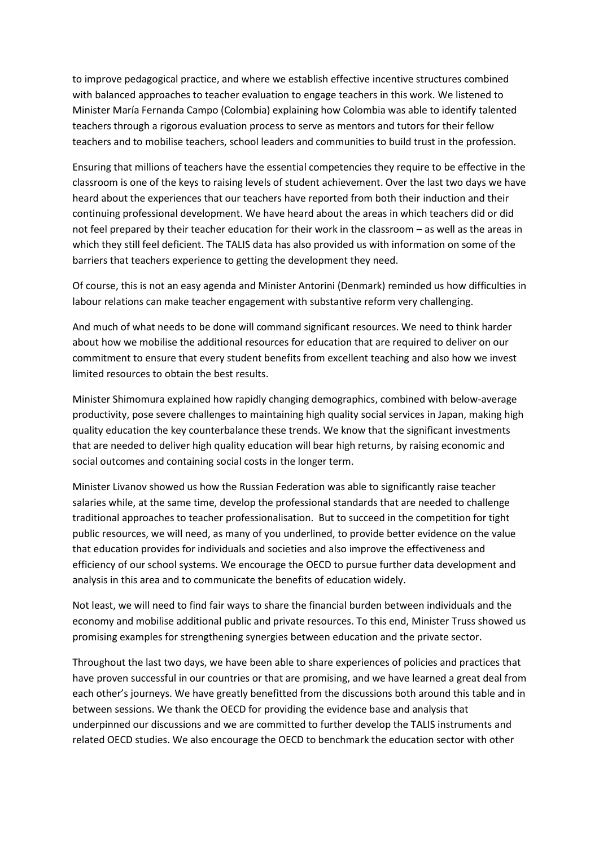to improve pedagogical practice, and where we establish effective incentive structures combined with balanced approaches to teacher evaluation to engage teachers in this work. We listened to Minister María Fernanda Campo (Colombia) explaining how Colombia was able to identify talented teachers through a rigorous evaluation process to serve as mentors and tutors for their fellow teachers and to mobilise teachers, school leaders and communities to build trust in the profession.

Ensuring that millions of teachers have the essential competencies they require to be effective in the classroom is one of the keys to raising levels of student achievement. Over the last two days we have heard about the experiences that our teachers have reported from both their induction and their continuing professional development. We have heard about the areas in which teachers did or did not feel prepared by their teacher education for their work in the classroom – as well as the areas in which they still feel deficient. The TALIS data has also provided us with information on some of the barriers that teachers experience to getting the development they need.

Of course, this is not an easy agenda and Minister Antorini (Denmark) reminded us how difficulties in labour relations can make teacher engagement with substantive reform very challenging.

And much of what needs to be done will command significant resources. We need to think harder about how we mobilise the additional resources for education that are required to deliver on our commitment to ensure that every student benefits from excellent teaching and also how we invest limited resources to obtain the best results.

Minister Shimomura explained how rapidly changing demographics, combined with below-average productivity, pose severe challenges to maintaining high quality social services in Japan, making high quality education the key counterbalance these trends. We know that the significant investments that are needed to deliver high quality education will bear high returns, by raising economic and social outcomes and containing social costs in the longer term.

Minister Livanov showed us how the Russian Federation was able to significantly raise teacher salaries while, at the same time, develop the professional standards that are needed to challenge traditional approaches to teacher professionalisation. But to succeed in the competition for tight public resources, we will need, as many of you underlined, to provide better evidence on the value that education provides for individuals and societies and also improve the effectiveness and efficiency of our school systems. We encourage the OECD to pursue further data development and analysis in this area and to communicate the benefits of education widely.

Not least, we will need to find fair ways to share the financial burden between individuals and the economy and mobilise additional public and private resources. To this end, Minister Truss showed us promising examples for strengthening synergies between education and the private sector.

Throughout the last two days, we have been able to share experiences of policies and practices that have proven successful in our countries or that are promising, and we have learned a great deal from each other's journeys. We have greatly benefitted from the discussions both around this table and in between sessions. We thank the OECD for providing the evidence base and analysis that underpinned our discussions and we are committed to further develop the TALIS instruments and related OECD studies. We also encourage the OECD to benchmark the education sector with other